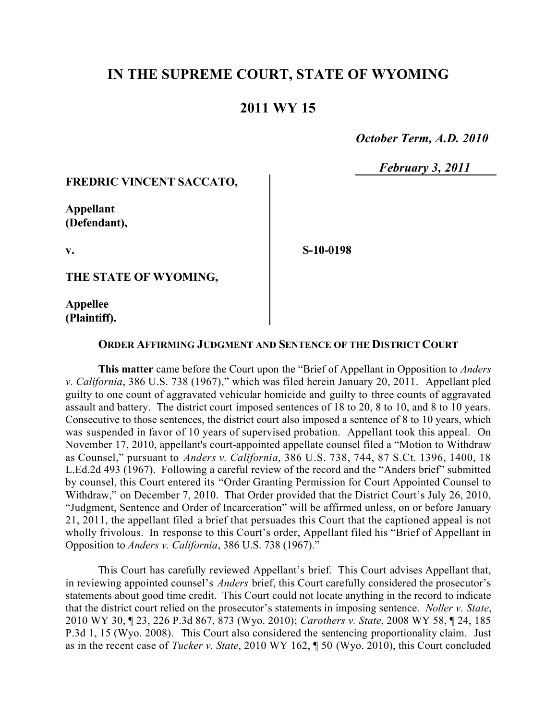# **IN THE SUPREME COURT, STATE OF WYOMING**

## **2011 WY 15**

 *October Term, A.D. 2010*

 *February 3, 2011*

## **FREDRIC VINCENT SACCATO,**

**Appellant (Defendant),**

**S-10-0198**

**THE STATE OF WYOMING,**

**Appellee (Plaintiff).**

**v.**

#### **ORDER AFFIRMING JUDGMENT AND SENTENCE OF THE DISTRICT COURT**

**This matter** came before the Court upon the "Brief of Appellant in Opposition to *Anders v. California*, 386 U.S. 738 (1967)," which was filed herein January 20, 2011. Appellant pled guilty to one count of aggravated vehicular homicide and guilty to three counts of aggravated assault and battery. The district court imposed sentences of 18 to 20, 8 to 10, and 8 to 10 years. Consecutive to those sentences, the district court also imposed a sentence of 8 to 10 years, which was suspended in favor of 10 years of supervised probation. Appellant took this appeal. On November 17, 2010, appellant's court-appointed appellate counsel filed a "Motion to Withdraw as Counsel," pursuant to *Anders v. California*, 386 U.S. 738, 744, 87 S.Ct. 1396, 1400, 18 L.Ed.2d 493 (1967). Following a careful review of the record and the "Anders brief" submitted by counsel, this Court entered its "Order Granting Permission for Court Appointed Counsel to Withdraw," on December 7, 2010. That Order provided that the District Court's July 26, 2010, "Judgment, Sentence and Order of Incarceration" will be affirmed unless, on or before January 21, 2011, the appellant filed a brief that persuades this Court that the captioned appeal is not wholly frivolous. In response to this Court's order, Appellant filed his "Brief of Appellant in Opposition to *Anders v. California*, 386 U.S. 738 (1967)."

This Court has carefully reviewed Appellant's brief. This Court advises Appellant that, in reviewing appointed counsel's *Anders* brief, this Court carefully considered the prosecutor's statements about good time credit. This Court could not locate anything in the record to indicate that the district court relied on the prosecutor's statements in imposing sentence. *Noller v. State*, 2010 WY 30, ¶ 23, 226 P.3d 867, 873 (Wyo. 2010); *Carothers v. State*, 2008 WY 58, ¶ 24, 185 P.3d 1, 15 (Wyo. 2008). This Court also considered the sentencing proportionality claim. Just as in the recent case of *Tucker v. State*, 2010 WY 162, ¶ 50 (Wyo. 2010), this Court concluded